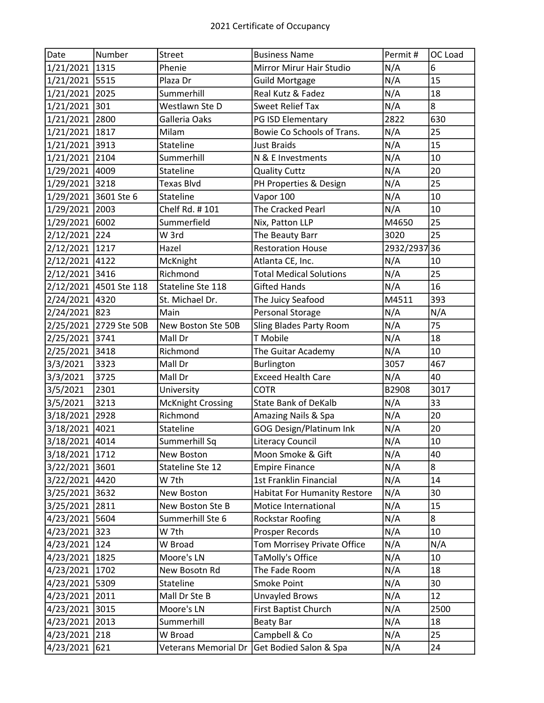| Date           | Number                 | Street                   | <b>Business Name</b>                | Permit#   | OC Load |
|----------------|------------------------|--------------------------|-------------------------------------|-----------|---------|
| 1/21/2021      | 1315                   | Phenie                   | Mirror Mirur Hair Studio            | N/A       | 6       |
| 1/21/2021 5515 |                        | Plaza Dr                 | <b>Guild Mortgage</b>               | N/A       | 15      |
| 1/21/2021 2025 |                        | Summerhill               | Real Kutz & Fadez                   | N/A       | 18      |
| 1/21/2021 301  |                        | Westlawn Ste D           | <b>Sweet Relief Tax</b>             | N/A       | 8       |
| 1/21/2021      | 2800                   | Galleria Oaks            | PG ISD Elementary                   | 2822      | 630     |
| 1/21/2021      | 1817                   | Milam                    | Bowie Co Schools of Trans.          | N/A       | 25      |
| 1/21/2021      | 3913                   | Stateline                | <b>Just Braids</b>                  | N/A       | 15      |
| 1/21/2021      | 2104                   | Summerhill               | N & E Investments                   | N/A       | 10      |
| 1/29/2021      | 4009                   | <b>Stateline</b>         | <b>Quality Cuttz</b>                | N/A       | 20      |
| 1/29/2021      | 3218                   | <b>Texas Blvd</b>        | PH Properties & Design              | N/A       | 25      |
| 1/29/2021      | 3601 Ste 6             | Stateline                | Vapor 100                           | N/A       | 10      |
| 1/29/2021      | 2003                   | Chelf Rd. #101           | The Cracked Pearl                   | N/A       | 10      |
| 1/29/2021      | 6002                   | Summerfield              | Nix, Patton LLP                     | M4650     | 25      |
| 2/12/2021 224  |                        | W 3rd                    | The Beauty Barr                     | 3020      | 25      |
| 2/12/2021      | 1217                   | Hazel                    | <b>Restoration House</b>            | 2932/2937 | 136     |
| 2/12/2021      | 4122                   | McKnight                 | Atlanta CE, Inc.                    | N/A       | 10      |
| 2/12/2021      | 3416                   | Richmond                 | <b>Total Medical Solutions</b>      | N/A       | 25      |
|                | 2/12/2021 4501 Ste 118 | Stateline Ste 118        | <b>Gifted Hands</b>                 | N/A       | 16      |
| 2/24/2021 4320 |                        | St. Michael Dr.          | The Juicy Seafood                   | M4511     | 393     |
| 2/24/2021 823  |                        | Main                     | Personal Storage                    | N/A       | N/A     |
| 2/25/2021      | 2729 Ste 50B           | New Boston Ste 50B       | <b>Sling Blades Party Room</b>      | N/A       | 75      |
| 2/25/2021      | 3741                   | Mall Dr                  | T Mobile                            | N/A       | 18      |
| 2/25/2021      | 3418                   | Richmond                 | The Guitar Academy                  | N/A       | 10      |
| 3/3/2021       | 3323                   | Mall Dr                  | Burlington                          | 3057      | 467     |
| 3/3/2021       | 3725                   | Mall Dr                  | <b>Exceed Health Care</b>           | N/A       | 40      |
| 3/5/2021       | 2301                   | University               | <b>COTR</b>                         | B2908     | 3017    |
| 3/5/2021       | 3213                   | <b>McKnight Crossing</b> | <b>State Bank of DeKalb</b>         | N/A       | 33      |
| 3/18/2021      | 2928                   | Richmond                 | Amazing Nails & Spa                 | N/A       | 20      |
| 3/18/2021      | 4021                   | Stateline                | GOG Design/Platinum Ink             | N/A       | 20      |
| 3/18/2021 4014 |                        | Summerhill Sq            | <b>Literacy Council</b>             | N/A       | 10      |
| 3/18/2021      | 1712                   | New Boston               | Moon Smoke & Gift                   | N/A       | 40      |
| 3/22/2021      | 3601                   | Stateline Ste 12         | <b>Empire Finance</b>               | N/A       | 8       |
| 3/22/2021      | 4420                   | W 7th                    | 1st Franklin Financial              | N/A       | 14      |
| 3/25/2021      | 3632                   | New Boston               | <b>Habitat For Humanity Restore</b> | N/A       | 30      |
| 3/25/2021      | 2811                   | New Boston Ste B         | Motice International                | N/A       | 15      |
| 4/23/2021      | 5604                   | Summerhill Ste 6         | Rockstar Roofing                    | N/A       | 8       |
| 4/23/2021      | 323                    | W 7th                    | Prosper Records                     | N/A       | 10      |
| 4/23/2021      | 124                    | W Broad                  | Tom Morrisey Private Office         | N/A       | N/A     |
| 4/23/2021      | 1825                   | Moore's LN               | TaMolly's Office                    | N/A       | 10      |
| 4/23/2021      | 1702                   | New Bosotn Rd            | The Fade Room                       | N/A       | 18      |
| 4/23/2021      | 5309                   | Stateline                | Smoke Point                         | N/A       | 30      |
| 4/23/2021      | 2011                   | Mall Dr Ste B            | Unvayled Brows                      | N/A       | 12      |
| 4/23/2021      | 3015                   | Moore's LN               | First Baptist Church                | N/A       | 2500    |
| 4/23/2021      | 2013                   | Summerhill               | <b>Beaty Bar</b>                    | N/A       | 18      |
| 4/23/2021      | 218                    | W Broad                  | Campbell & Co                       | N/A       | 25      |
| 4/23/2021      | 621                    | Veterans Memorial Dr     | Get Bodied Salon & Spa              | N/A       | 24      |